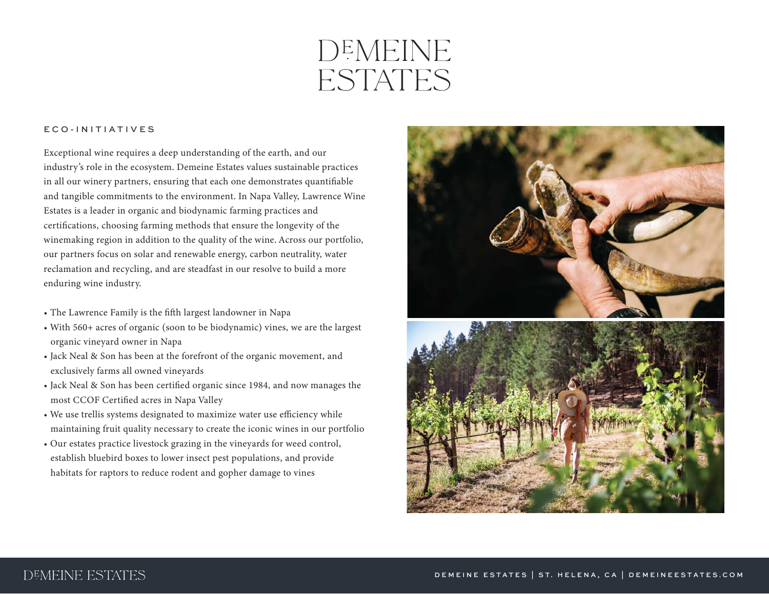## DEMEINE **ESTATES**

## ECO-INITIATIVES

Exceptional wine requires a deep understanding of the earth, and our industry's role in the ecosystem. Demeine Estates values sustainable practices in all our winery partners, ensuring that each one demonstrates quantifiable and tangible commitments to the environment. In Napa Valley, Lawrence Wine Estates is a leader in organic and biodynamic farming practices and certifications, choosing farming methods that ensure the longevity of the winemaking region in addition to the quality of the wine. Across our portfolio, our partners focus on solar and renewable energy, carbon neutrality, water reclamation and recycling, and are steadfast in our resolve to build a more enduring wine industry.

- The Lawrence Family is the fifth largest landowner in Napa
- With 560+ acres of organic (soon to be biodynamic) vines, we are the largest organic vineyard owner in Napa
- Jack Neal & Son has been at the forefront of the organic movement, and exclusively farms all owned vineyards
- Jack Neal & Son has been certified organic since 1984, and now manages the most CCOF Certified acres in Napa Valley
- We use trellis systems designated to maximize water use efficiency while maintaining fruit quality necessary to create the iconic wines in our portfolio
- Our estates practice livestock grazing in the vineyards for weed control, establish bluebird boxes to lower insect pest populations, and provide habitats for raptors to reduce rodent and gopher damage to vines